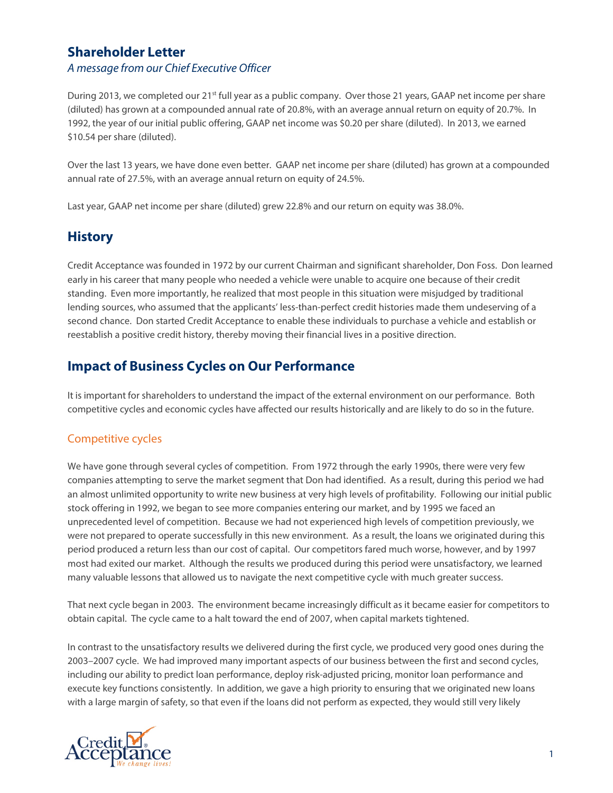#### **Shareholder Letter** *A message from our Chief Executive Officer*

During 2013, we completed our 21<sup>st</sup> full year as a public company. Over those 21 years, GAAP net income per share (diluted) has grown at a compounded annual rate of 20.8%, with an average annual return on equity of 20.7%. In 1992, the year of our initial public offering, GAAP net income was \$0.20 per share (diluted). In 2013, we earned \$10.54 per share (diluted).

Over the last 13 years, we have done even better. GAAP net income per share (diluted) has grown at a compounded annual rate of 27.5%, with an average annual return on equity of 24.5%.

Last year, GAAP net income per share (diluted) grew 22.8% and our return on equity was 38.0%.

## **History**

Credit Acceptance was founded in 1972 by our current Chairman and significant shareholder, Don Foss. Don learned early in his career that many people who needed a vehicle were unable to acquire one because of their credit standing. Even more importantly, he realized that most people in this situation were misjudged by traditional lending sources, who assumed that the applicants' less-than-perfect credit histories made them undeserving of a second chance. Don started Credit Acceptance to enable these individuals to purchase a vehicle and establish or reestablish a positive credit history, thereby moving their financial lives in a positive direction.

## **Impact of Business Cycles on Our Performance**

It is important for shareholders to understand the impact of the external environment on our performance. Both competitive cycles and economic cycles have affected our results historically and are likely to do so in the future.

#### Competitive cycles

We have gone through several cycles of competition. From 1972 through the early 1990s, there were very few companies attempting to serve the market segment that Don had identified. As a result, during this period we had an almost unlimited opportunity to write new business at very high levels of profitability. Following our initial public stock offering in 1992, we began to see more companies entering our market, and by 1995 we faced an unprecedented level of competition. Because we had not experienced high levels of competition previously, we were not prepared to operate successfully in this new environment. As a result, the loans we originated during this period produced a return less than our cost of capital. Our competitors fared much worse, however, and by 1997 most had exited our market. Although the results we produced during this period were unsatisfactory, we learned many valuable lessons that allowed us to navigate the next competitive cycle with much greater success.

That next cycle began in 2003. The environment became increasingly difficult as it became easier for competitors to obtain capital. The cycle came to a halt toward the end of 2007, when capital markets tightened.

In contrast to the unsatisfactory results we delivered during the first cycle, we produced very good ones during the 2003–2007 cycle. We had improved many important aspects of our business between the first and second cycles, including our ability to predict loan performance, deploy risk-adjusted pricing, monitor loan performance and execute key functions consistently. In addition, we gave a high priority to ensuring that we originated new loans with a large margin of safety, so that even if the loans did not perform as expected, they would still very likely

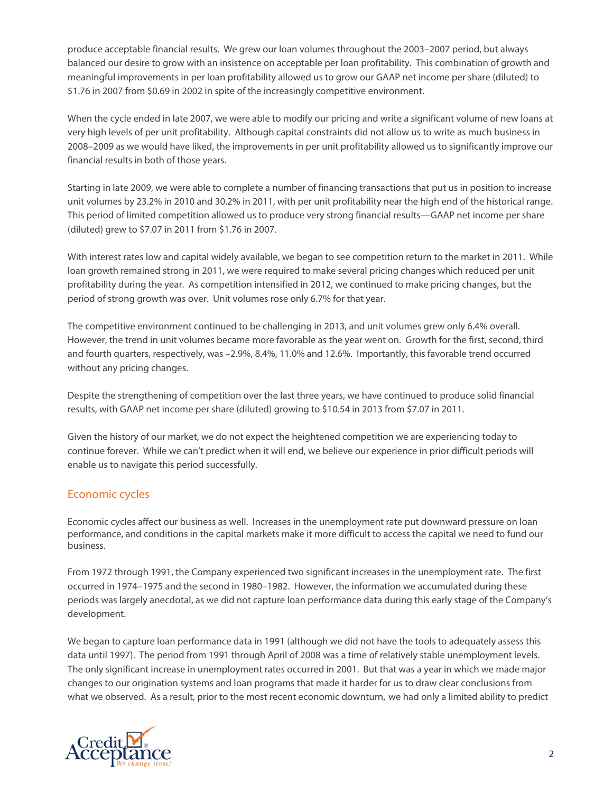produce acceptable financial results. We grew our loan volumes throughout the 2003–2007 period, but always balanced our desire to grow with an insistence on acceptable per loan profitability. This combination of growth and meaningful improvements in per loan profitability allowed us to grow our GAAP net income per share (diluted) to \$1.76 in 2007 from \$0.69 in 2002 in spite of the increasingly competitive environment.

When the cycle ended in late 2007, we were able to modify our pricing and write a significant volume of new loans at very high levels of per unit profitability. Although capital constraints did not allow us to write as much business in 2008–2009 as we would have liked, the improvements in per unit profitability allowed us to significantly improve our financial results in both of those years.

Starting in late 2009, we were able to complete a number of financing transactions that put us in position to increase unit volumes by 23.2% in 2010 and 30.2% in 2011, with per unit profitability near the high end of the historical range. This period of limited competition allowed us to produce very strong financial results—GAAP net income per share (diluted) grew to \$7.07 in 2011 from \$1.76 in 2007.

With interest rates low and capital widely available, we began to see competition return to the market in 2011. While loan growth remained strong in 2011, we were required to make several pricing changes which reduced per unit profitability during the year. As competition intensified in 2012, we continued to make pricing changes, but the period of strong growth was over. Unit volumes rose only 6.7% for that year.

The competitive environment continued to be challenging in 2013, and unit volumes grew only 6.4% overall. However, the trend in unit volumes became more favorable as the year went on. Growth for the first, second, third and fourth quarters, respectively, was –2.9%, 8.4%, 11.0% and 12.6%. Importantly, this favorable trend occurred without any pricing changes.

Despite the strengthening of competition over the last three years, we have continued to produce solid financial results, with GAAP net income per share (diluted) growing to \$10.54 in 2013 from \$7.07 in 2011.

Given the history of our market, we do not expect the heightened competition we are experiencing today to continue forever. While we can't predict when it will end, we believe our experience in prior difficult periods will enable us to navigate this period successfully.

#### Economic cycles

Economic cycles affect our business as well. Increases in the unemployment rate put downward pressure on loan performance, and conditions in the capital markets make it more difficult to access the capital we need to fund our business.

From 1972 through 1991, the Company experienced two significant increases in the unemployment rate. The first occurred in 1974–1975 and the second in 1980–1982. However, the information we accumulated during these periods was largely anecdotal, as we did not capture loan performance data during this early stage of the Company's development.

We began to capture loan performance data in 1991 (although we did not have the tools to adequately assess this data until 1997). The period from 1991 through April of 2008 was a time of relatively stable unemployment levels. The only significant increase in unemployment rates occurred in 2001. But that was a year in which we made major changes to our origination systems and loan programs that made it harder for us to draw clear conclusions from what we observed. As a result, prior to the most recent economic downturn, we had only a limited ability to predict

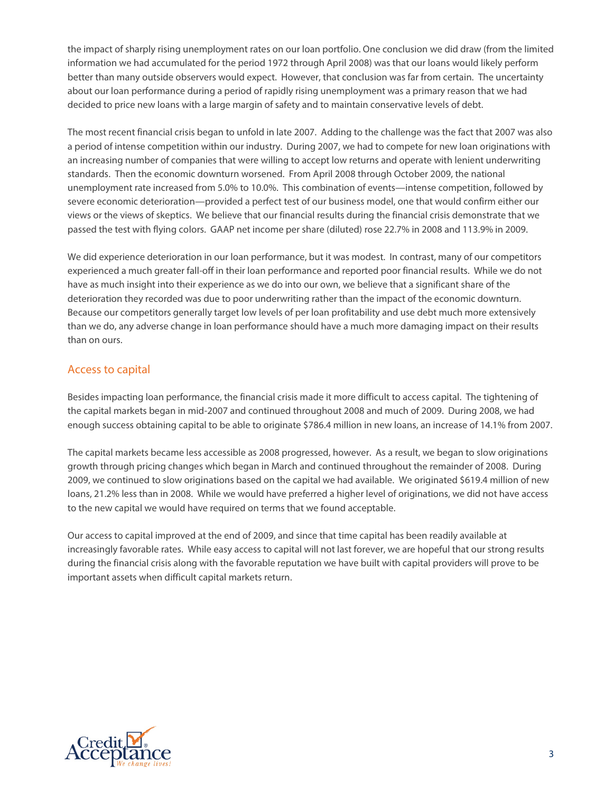the impact of sharply rising unemployment rates on our loan portfolio. One conclusion we did draw (from the limited information we had accumulated for the period 1972 through April 2008) was that our loans would likely perform better than many outside observers would expect. However, that conclusion was far from certain. The uncertainty about our loan performance during a period of rapidly rising unemployment was a primary reason that we had decided to price new loans with a large margin of safety and to maintain conservative levels of debt.

The most recent financial crisis began to unfold in late 2007. Adding to the challenge was the fact that 2007 was also a period of intense competition within our industry. During 2007, we had to compete for new loan originations with an increasing number of companies that were willing to accept low returns and operate with lenient underwriting standards. Then the economic downturn worsened. From April 2008 through October 2009, the national unemployment rate increased from 5.0% to 10.0%. This combination of events—intense competition, followed by severe economic deterioration—provided a perfect test of our business model, one that would confirm either our views or the views of skeptics. We believe that our financial results during the financial crisis demonstrate that we passed the test with flying colors. GAAP net income per share (diluted) rose 22.7% in 2008 and 113.9% in 2009.

We did experience deterioration in our loan performance, but it was modest. In contrast, many of our competitors experienced a much greater fall-off in their loan performance and reported poor financial results. While we do not have as much insight into their experience as we do into our own, we believe that a significant share of the deterioration they recorded was due to poor underwriting rather than the impact of the economic downturn. Because our competitors generally target low levels of per loan profitability and use debt much more extensively than we do, any adverse change in loan performance should have a much more damaging impact on their results than on ours.

#### Access to capital

Besides impacting loan performance, the financial crisis made it more difficult to access capital. The tightening of the capital markets began in mid-2007 and continued throughout 2008 and much of 2009. During 2008, we had enough success obtaining capital to be able to originate \$786.4 million in new loans, an increase of 14.1% from 2007.

The capital markets became less accessible as 2008 progressed, however. As a result, we began to slow originations growth through pricing changes which began in March and continued throughout the remainder of 2008. During 2009, we continued to slow originations based on the capital we had available. We originated \$619.4 million of new loans, 21.2% less than in 2008. While we would have preferred a higher level of originations, we did not have access to the new capital we would have required on terms that we found acceptable.

Our access to capital improved at the end of 2009, and since that time capital has been readily available at increasingly favorable rates. While easy access to capital will not last forever, we are hopeful that our strong results during the financial crisis along with the favorable reputation we have built with capital providers will prove to be important assets when difficult capital markets return.

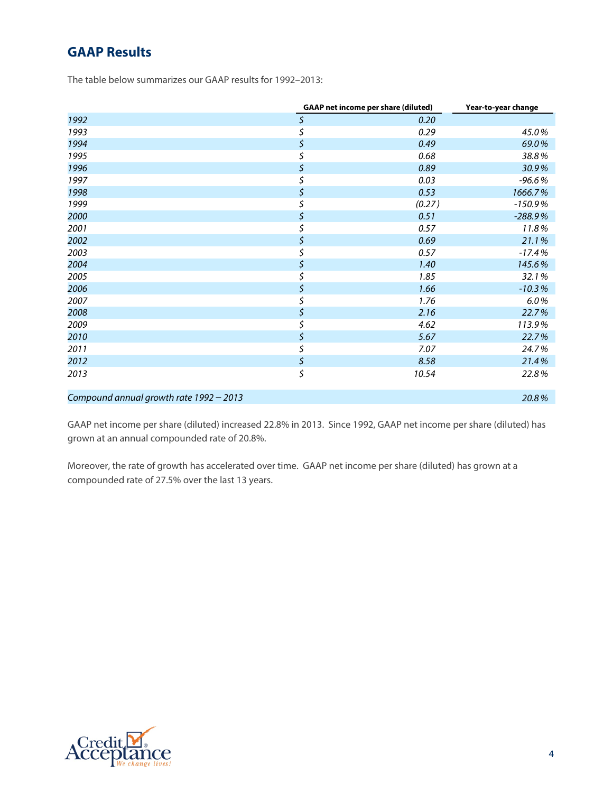## **GAAP Results**

The table below summarizes our GAAP results for 1992–2013:

|                                         | <b>GAAP</b> net income per share (diluted) | Year-to-year change |  |  |
|-----------------------------------------|--------------------------------------------|---------------------|--|--|
| 1992                                    | \$<br>0.20                                 |                     |  |  |
| 1993                                    | \$<br>0.29                                 | 45.0%               |  |  |
| 1994                                    | \$<br>0.49                                 | 69.0%               |  |  |
| 1995                                    | \$<br>0.68                                 | 38.8%               |  |  |
| 1996                                    | \$<br>0.89                                 | 30.9%               |  |  |
| 1997                                    | \$<br>0.03                                 | $-96.6%$            |  |  |
| 1998                                    | \$<br>0.53                                 | 1666.7%             |  |  |
| 1999                                    | \$<br>(0.27)                               | $-150.9%$           |  |  |
| 2000                                    | \$<br>0.51                                 | $-288.9%$           |  |  |
| 2001                                    | \$<br>0.57                                 | 11.8%               |  |  |
| 2002                                    | \$<br>0.69                                 | 21.1%               |  |  |
| 2003                                    | \$<br>0.57                                 | $-17.4%$            |  |  |
| 2004                                    | \$<br>1.40                                 | 145.6%              |  |  |
| 2005                                    | \$<br>1.85                                 | 32.1%               |  |  |
| 2006                                    | \$<br>1.66                                 | $-10.3%$            |  |  |
| 2007                                    | \$<br>1.76                                 | 6.0%                |  |  |
| 2008                                    | \$<br>2.16                                 | 22.7%               |  |  |
| 2009                                    | \$<br>4.62                                 | 113.9%              |  |  |
| 2010                                    | \$<br>5.67                                 | 22.7%               |  |  |
| 2011                                    | \$<br>7.07                                 | 24.7%               |  |  |
| 2012                                    | \$<br>8.58                                 | 21.4%               |  |  |
| 2013                                    | \$<br>10.54                                | 22.8%               |  |  |
| Compound annual growth rate 1992 - 2013 |                                            | 20.8%               |  |  |

GAAP net income per share (diluted) increased 22.8% in 2013. Since 1992, GAAP net income per share (diluted) has grown at an annual compounded rate of 20.8%.

Moreover, the rate of growth has accelerated over time. GAAP net income per share (diluted) has grown at a compounded rate of 27.5% over the last 13 years.

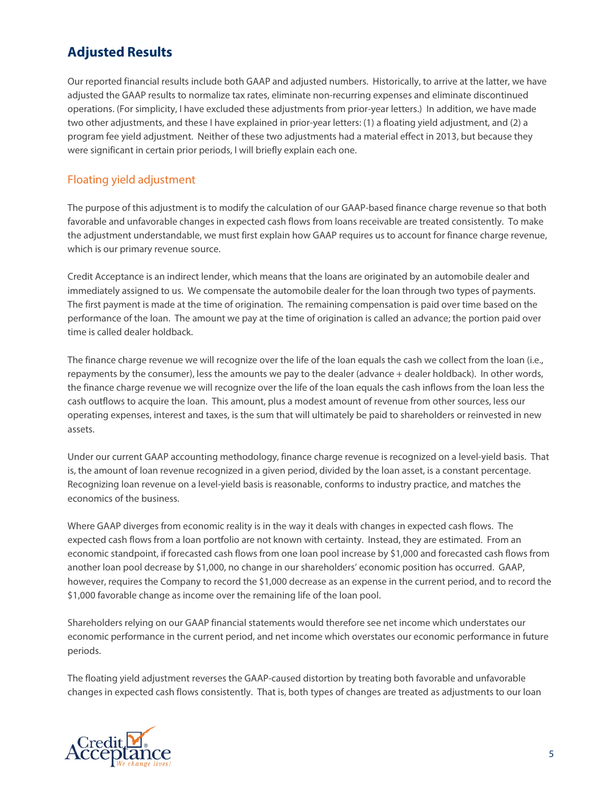# **Adjusted Results**

Our reported financial results include both GAAP and adjusted numbers. Historically, to arrive at the latter, we have adjusted the GAAP results to normalize tax rates, eliminate non-recurring expenses and eliminate discontinued operations. (For simplicity, I have excluded these adjustments from prior-year letters.) In addition, we have made two other adjustments, and these I have explained in prior-year letters: (1) a floating yield adjustment, and (2) a program fee yield adjustment. Neither of these two adjustments had a material effect in 2013, but because they were significant in certain prior periods, I will briefly explain each one.

#### Floating yield adjustment

The purpose of this adjustment is to modify the calculation of our GAAP-based finance charge revenue so that both favorable and unfavorable changes in expected cash flows from loans receivable are treated consistently. To make the adjustment understandable, we must first explain how GAAP requires us to account for finance charge revenue, which is our primary revenue source.

Credit Acceptance is an indirect lender, which means that the loans are originated by an automobile dealer and immediately assigned to us. We compensate the automobile dealer for the loan through two types of payments. The first payment is made at the time of origination. The remaining compensation is paid over time based on the performance of the loan. The amount we pay at the time of origination is called an advance; the portion paid over time is called dealer holdback.

The finance charge revenue we will recognize over the life of the loan equals the cash we collect from the loan (i.e., repayments by the consumer), less the amounts we pay to the dealer (advance + dealer holdback). In other words, the finance charge revenue we will recognize over the life of the loan equals the cash inflows from the loan less the cash outflows to acquire the loan. This amount, plus a modest amount of revenue from other sources, less our operating expenses, interest and taxes, is the sum that will ultimately be paid to shareholders or reinvested in new assets.

Under our current GAAP accounting methodology, finance charge revenue is recognized on a level-yield basis. That is, the amount of loan revenue recognized in a given period, divided by the loan asset, is a constant percentage. Recognizing loan revenue on a level-yield basis is reasonable, conforms to industry practice, and matches the economics of the business.

Where GAAP diverges from economic reality is in the way it deals with changes in expected cash flows. The expected cash flows from a loan portfolio are not known with certainty. Instead, they are estimated. From an economic standpoint, if forecasted cash flows from one loan pool increase by \$1,000 and forecasted cash flows from another loan pool decrease by \$1,000, no change in our shareholders' economic position has occurred. GAAP, however, requires the Company to record the \$1,000 decrease as an expense in the current period, and to record the \$1,000 favorable change as income over the remaining life of the loan pool.

Shareholders relying on our GAAP financial statements would therefore see net income which understates our economic performance in the current period, and net income which overstates our economic performance in future periods.

The floating yield adjustment reverses the GAAP-caused distortion by treating both favorable and unfavorable changes in expected cash flows consistently. That is, both types of changes are treated as adjustments to our loan

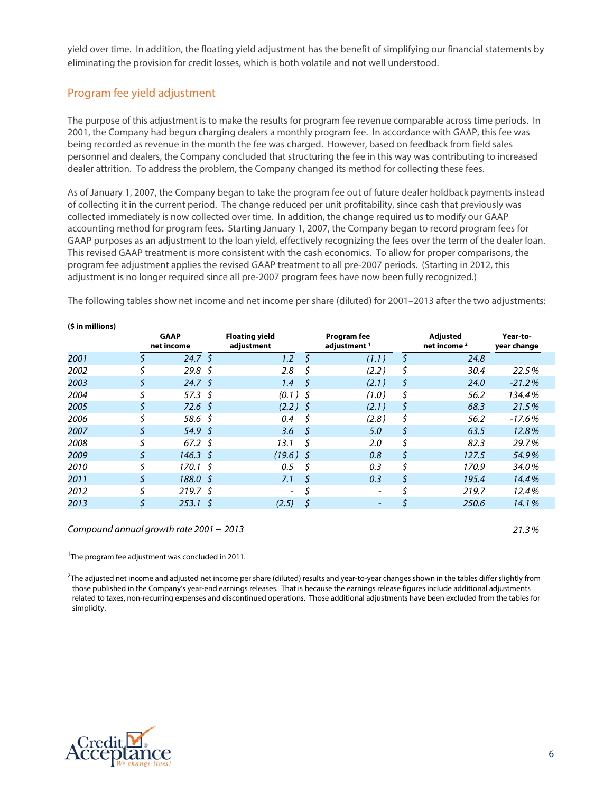yield over time. In addition, the floating yield adjustment has the benefit of simplifying our financial statements by eliminating the provision for credit losses, which is both volatile and not well understood.

#### Program fee yield adjustment

The purpose of this adjustment is to make the results for program fee revenue comparable across time periods. In 2001, the Company had begun charging dealers a monthly program fee. In accordance with GAAP, this fee was being recorded as revenue in the month the fee was charged. However, based on feedback from field sales personnel and dealers, the Company concluded that structuring the fee in this way was contributing to increased dealer attrition. To address the problem, the Company changed its method for collecting these fees.

As of January 1, 2007, the Company began to take the program fee out of future dealer holdback payments instead of collecting it in the current period. The change reduced per unit profitability, since cash that previously was collected immediately is now collected over time. In addition, the change required us to modify our GAAP accounting method for program fees. Starting January 1, 2007, the Company began to record program fees for GAAP purposes as an adjustment to the loan yield, effectively recognizing the fees over the term of the dealer loan. This revised GAAP treatment is more consistent with the cash economics. To allow for proper comparisons, the program fee adjustment applies the revised GAAP treatment to all pre-2007 periods. (Starting in 2012, this adjustment is no longer required since all pre-2007 program fees have now been fully recognized.)

The following tables show net income and net income per share (diluted) for 2001–2013 after the two adjustments:

|      |    | <b>GAAP</b><br>net income | <b>Floating yield</b><br>adjustment |     | <b>Program fee</b><br>adjustment <sup>1</sup> | <b>Adjusted</b><br>net income <sup>2</sup> | Year-to-<br>year change |
|------|----|---------------------------|-------------------------------------|-----|-----------------------------------------------|--------------------------------------------|-------------------------|
| 2001 |    | $24.7 \; \zeta$           | $1.2\,$                             |     | (1.1)                                         | \$<br>24.8                                 |                         |
| 2002 |    | 29.8 <sup>5</sup>         | 2.8                                 | S   | (2.2)                                         | \$<br>30.4                                 | 22.5%                   |
| 2003 |    | $24.7 \; \zeta$           | 1.4                                 | S   | (2.1)                                         | \$<br>24.0                                 | $-21.2%$                |
| 2004 |    | 57.3 \$                   | $(0.1)$ \$                          |     | (1.0)                                         | \$<br>56.2                                 | 134.4%                  |
| 2005 | Ś  | $72.6\;S$                 | $(2.2)$ \$                          |     | (2.1)                                         | \$<br>68.3                                 | 21.5%                   |
| 2006 |    | 58.6 \$                   | 0.4                                 | \$  | (2.8)                                         | \$<br>56.2                                 | $-17.6%$                |
| 2007 | \$ | 54.9 \$                   | 3.6                                 | - 5 | 5.0                                           | \$<br>63.5                                 | 12.8%                   |
| 2008 |    | $67.2 \text{ }$           | 13.1                                | Ś   | 2.0                                           | \$<br>82.3                                 | 29.7%                   |
| 2009 |    | $146.3 \text{ }$          | $(19.6)$ \$                         |     | 0.8                                           | \$<br>127.5                                | 54.9%                   |
| 2010 |    | $170.1 \; \simeq$         | 0.5                                 | S   | 0.3                                           | \$<br>170.9                                | 34.0%                   |
| 2011 |    | 188.0 \$                  | 7.1                                 | S   | 0.3                                           | \$<br>195.4                                | 14.4%                   |
| 2012 |    | $219.7 \;$ \$             | $\overline{\phantom{a}}$            |     | $\overline{\phantom{0}}$                      | 219.7                                      | 12.4%                   |
| 2013 | \$ | $253.1 \; \simeq$         | (2.5)                               | \$  | -                                             | \$<br>250.6                                | 14.1%                   |
|      |    |                           |                                     |     |                                               |                                            |                         |

**(\$ in millions)**

*Compound annual growth rate 2001* – *2013 21.3%*

<sup>1</sup>The program fee adjustment was concluded in 2011.

 $^2$ The adjusted net income and adjusted net income per share (diluted) results and year-to-year changes shown in the tables differ slightly from those published in the Company's year-end earnings releases. That is because the earnings release figures include additional adjustments related to taxes, non-recurring expenses and discontinued operations. Those additional adjustments have been excluded from the tables for simplicity.

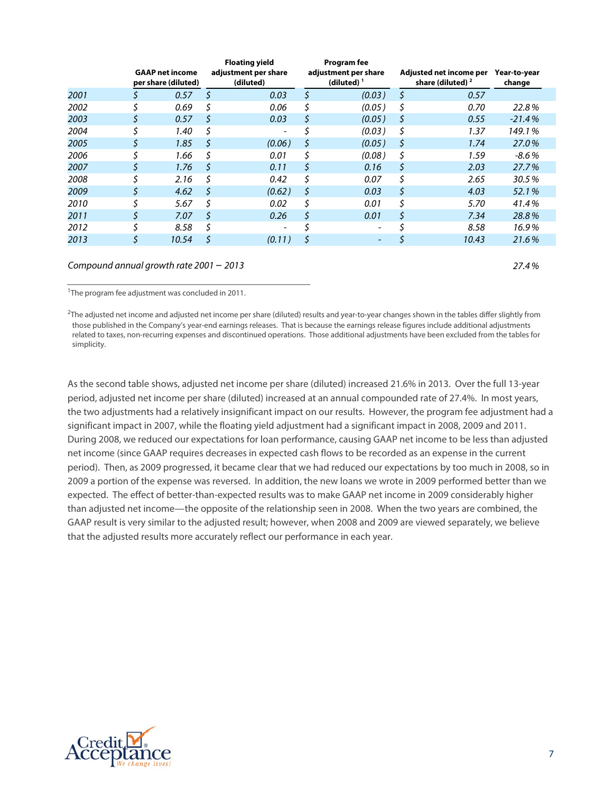|      | <b>GAAP net income</b><br>per share (diluted) |    | <b>Floating yield</b><br>adjustment per share<br>(diluted) |    | Program fee<br>adjustment per share<br>(diluted) $1$ |    | Adjusted net income per<br>share (diluted) <sup>2</sup> | Year-to-year<br>change |
|------|-----------------------------------------------|----|------------------------------------------------------------|----|------------------------------------------------------|----|---------------------------------------------------------|------------------------|
| 2001 | 0.57                                          | \$ | 0.03                                                       | \$ | (0.03)                                               | \$ | 0.57                                                    |                        |
| 2002 | \$<br>0.69                                    | \$ | 0.06                                                       | \$ | (0.05)                                               | \$ | 0.70                                                    | 22.8%                  |
| 2003 | \$<br>0.57                                    | \$ | 0.03                                                       | \$ | (0.05)                                               | \$ | 0.55                                                    | $-21.4%$               |
| 2004 | 1.40                                          | \$ |                                                            |    | (0.03)                                               | \$ | 1.37                                                    | 149.1%                 |
| 2005 | \$<br>1.85                                    | \$ | (0.06)                                                     | \$ | (0.05)                                               | \$ | 1.74                                                    | 27.0%                  |
| 2006 | \$<br>1.66                                    | \$ | 0.01                                                       | S  | (0.08)                                               | \$ | 1.59                                                    | $-8.6%$                |
| 2007 | \$<br>1.76                                    | \$ | 0.11                                                       | \$ | 0.16                                                 | \$ | 2.03                                                    | 27.7%                  |
| 2008 | 2.16                                          | \$ | 0.42                                                       | \$ | 0.07                                                 | \$ | 2.65                                                    | 30.5%                  |
| 2009 | \$<br>4.62                                    | \$ | (0.62)                                                     | \$ | 0.03                                                 | \$ | 4.03                                                    | 52.1%                  |
| 2010 | \$<br>5.67                                    | Ś. | 0.02                                                       | \$ | 0.01                                                 | \$ | 5.70                                                    | 41.4%                  |
| 2011 | \$<br>7.07                                    | \$ | 0.26                                                       | \$ | 0.01                                                 | \$ | 7.34                                                    | 28.8%                  |
| 2012 | \$<br>8.58                                    | \$ |                                                            |    |                                                      |    | 8.58                                                    | 16.9%                  |
| 2013 | \$<br>10.54                                   | \$ | (0.11)                                                     | \$ | -                                                    |    | 10.43                                                   | 21.6%                  |
|      |                                               |    |                                                            |    |                                                      |    |                                                         |                        |

*Compound annual growth rate 2001* – *2013 27.4%*

<sup>1</sup>The program fee adjustment was concluded in 2011.

 $^{2}$ The adjusted net income and adjusted net income per share (diluted) results and year-to-year changes shown in the tables differ slightly from those published in the Company's year-end earnings releases. That is because the earnings release figures include additional adjustments related to taxes, non-recurring expenses and discontinued operations. Those additional adjustments have been excluded from the tables for simplicity.

As the second table shows, adjusted net income per share (diluted) increased 21.6% in 2013. Over the full 13-year period, adjusted net income per share (diluted) increased at an annual compounded rate of 27.4%. In most years, the two adjustments had a relatively insignificant impact on our results. However, the program fee adjustment had a significant impact in 2007, while the floating yield adjustment had a significant impact in 2008, 2009 and 2011. During 2008, we reduced our expectations for loan performance, causing GAAP net income to be less than adjusted net income (since GAAP requires decreases in expected cash flows to be recorded as an expense in the current period). Then, as 2009 progressed, it became clear that we had reduced our expectations by too much in 2008, so in 2009 a portion of the expense was reversed. In addition, the new loans we wrote in 2009 performed better than we expected. The effect of better-than-expected results was to make GAAP net income in 2009 considerably higher than adjusted net income—the opposite of the relationship seen in 2008. When the two years are combined, the GAAP result is very similar to the adjusted result; however, when 2008 and 2009 are viewed separately, we believe that the adjusted results more accurately reflect our performance in each year.

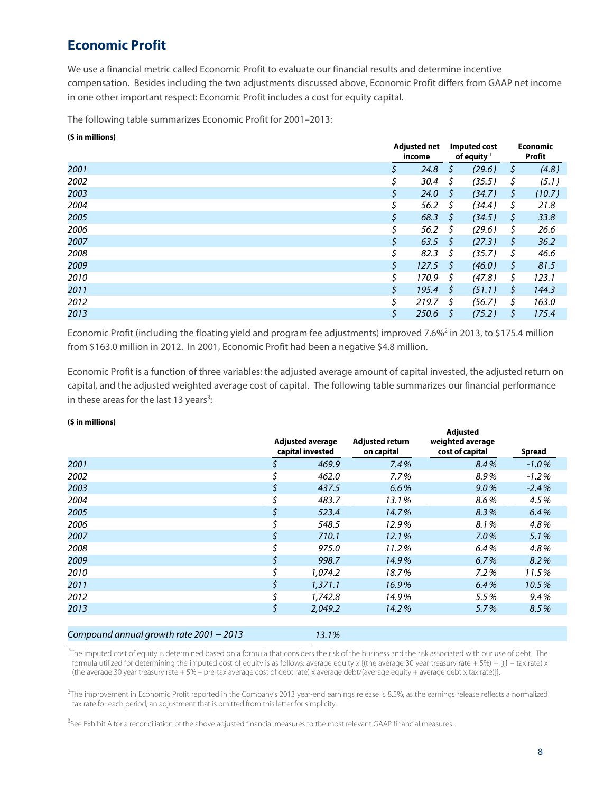## **Economic Profit**

We use a financial metric called Economic Profit to evaluate our financial results and determine incentive compensation. Besides including the two adjustments discussed above, Economic Profit differs from GAAP net income in one other important respect: Economic Profit includes a cost for equity capital.

**Adjusted net** 

The following table summarizes Economic Profit for 2001–2013:

#### **(\$ in millions)**

|      |    | <b>Adjusted net</b><br>income |              | <b>Imputed cost</b><br>of equity $1$ |    | <b>Economic</b><br>Profit |
|------|----|-------------------------------|--------------|--------------------------------------|----|---------------------------|
| 2001 |    | 24.8                          | S            | (29.6)                               | \$ | (4.8)                     |
| 2002 | S  | 30.4                          | \$           | (35.5)                               | \$ | (5.1)                     |
| 2003 | \$ | 24.0                          | <sup>S</sup> | (34.7)                               | Ş. | (10.7)                    |
| 2004 |    | 56.2                          | S            | (34.4)                               | S  | 21.8                      |
| 2005 | \$ | 68.3                          | -S           | (34.5)                               | S  | 33.8                      |
| 2006 | Ś  | 56.2                          | Ŝ.           | (29.6)                               | Ś. | 26.6                      |
| 2007 | \$ | 63.5                          | -S           | (27.3)                               | \$ | 36.2                      |
| 2008 |    | 82.3                          | Ŝ.           | (35.7)                               | \$ | 46.6                      |
| 2009 | Ś. | 127.5                         | -S           | (46.0)                               | S. | 81.5                      |
| 2010 |    | 170.9                         | \$           | (47.8)                               | \$ | 123.1                     |
| 2011 |    | 195.4                         | \$           | (51.1)                               | \$ | 144.3                     |
| 2012 |    | 219.7                         | S            | (56.7)                               | S  | 163.0                     |
| 2013 |    | 250.6                         | -S           | (75.2)                               | \$ | 175.4                     |

Economic Profit (including the floating yield and program fee adjustments) improved 7.6%<sup>2</sup> in 2013, to \$175.4 million from \$163.0 million in 2012. In 2001, Economic Profit had been a negative \$4.8 million.

Economic Profit is a function of three variables: the adjusted average amount of capital invested, the adjusted return on capital, and the adjusted weighted average cost of capital. The following table summarizes our financial performance in these areas for the last 13 years<sup>3</sup>:

#### **(\$ in millions)**

|      |    | <b>Adjusted average</b> | Adjusted return | <b>Adjusted</b><br>weighted average |         |
|------|----|-------------------------|-----------------|-------------------------------------|---------|
|      |    | capital invested        | on capital      | cost of capital                     | Spread  |
| 2001 |    | 469.9                   | 7.4%            | 8.4%                                | $-1.0%$ |
| 2002 |    | 462.0                   | $7.7\%$         | 8.9%                                | $-1.2%$ |
| 2003 |    | 437.5                   | 6.6%            | $9.0\%$                             | $-2.4%$ |
| 2004 |    | 483.7                   | 13.1%           | 8.6%                                | 4.5%    |
| 2005 |    | 523.4                   | 14.7%           | 8.3%                                | 6.4%    |
| 2006 |    | 548.5                   | 12.9%           | 8.1%                                | 4.8%    |
| 2007 | S  | 710.1                   | 12.1%           | 7.0%                                | 5.1%    |
| 2008 |    | 975.0                   | 11.2%           | 6.4%                                | 4.8%    |
| 2009 |    | 998.7                   | 14.9%           | 6.7%                                | 8.2%    |
| 2010 |    | 1,074.2                 | 18.7%           | 7.2%                                | 11.5%   |
| 2011 |    | 1,371.1                 | 16.9%           | 6.4%                                | 10.5%   |
| 2012 |    | 1,742.8                 | 14.9%           | 5.5%                                | 9.4%    |
| 2013 | \$ | 2,049.2                 | 14.2%           | 5.7%                                | 8.5%    |
|      |    |                         |                 |                                     |         |
|      |    |                         |                 |                                     |         |

#### *Compound annual growth rate 2001* – *2013 13.1%*

*1* The imputed cost of equity is determined based on a formula that considers the risk of the business and the risk associated with our use of debt. The formula utilized for determining the imputed cost of equity is as follows: average equity x {(the average 30 year treasury rate + 5%) +  $[(1 - tax rate) \times$ (the average 30 year treasury rate + 5% – pre-tax average cost of debt rate) x average debt/(average equity + average debt x tax rate)]}.

2 The improvement in Economic Profit reported in the Company's 2013 year-end earnings release is 8.5%, as the earnings release reflects a normalized tax rate for each period, an adjustment that is omitted from this letter for simplicity.

<sup>3</sup>See Exhibit A for a reconciliation of the above adjusted financial measures to the most relevant GAAP financial measures.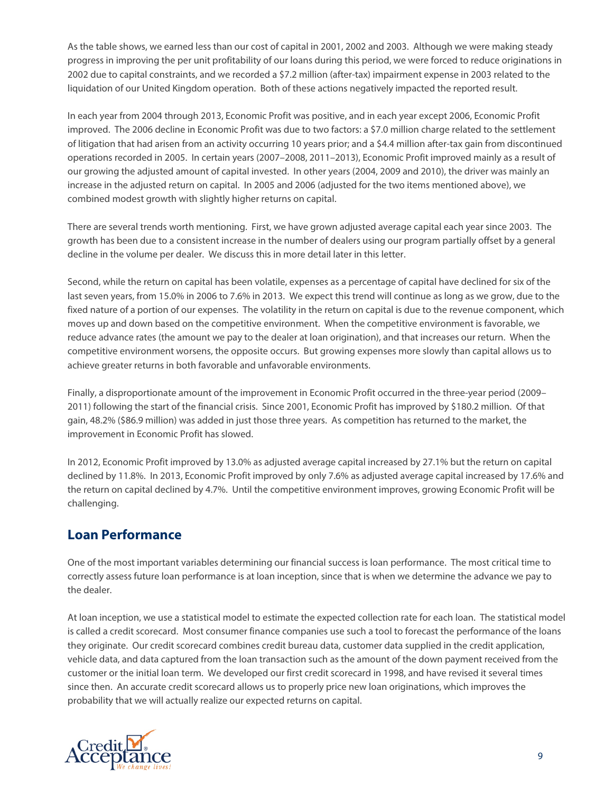As the table shows, we earned less than our cost of capital in 2001, 2002 and 2003. Although we were making steady progress in improving the per unit profitability of our loans during this period, we were forced to reduce originations in 2002 due to capital constraints, and we recorded a \$7.2 million (after-tax) impairment expense in 2003 related to the liquidation of our United Kingdom operation. Both of these actions negatively impacted the reported result.

In each year from 2004 through 2013, Economic Profit was positive, and in each year except 2006, Economic Profit improved. The 2006 decline in Economic Profit was due to two factors: a \$7.0 million charge related to the settlement of litigation that had arisen from an activity occurring 10 years prior; and a \$4.4 million after-tax gain from discontinued operations recorded in 2005. In certain years (2007–2008, 2011–2013), Economic Profit improved mainly as a result of our growing the adjusted amount of capital invested. In other years (2004, 2009 and 2010), the driver was mainly an increase in the adjusted return on capital. In 2005 and 2006 (adjusted for the two items mentioned above), we combined modest growth with slightly higher returns on capital.

There are several trends worth mentioning. First, we have grown adjusted average capital each year since 2003. The growth has been due to a consistent increase in the number of dealers using our program partially offset by a general decline in the volume per dealer. We discuss this in more detail later in this letter.

Second, while the return on capital has been volatile, expenses as a percentage of capital have declined for six of the last seven years, from 15.0% in 2006 to 7.6% in 2013. We expect this trend will continue as long as we grow, due to the fixed nature of a portion of our expenses. The volatility in the return on capital is due to the revenue component, which moves up and down based on the competitive environment. When the competitive environment is favorable, we reduce advance rates (the amount we pay to the dealer at loan origination), and that increases our return. When the competitive environment worsens, the opposite occurs. But growing expenses more slowly than capital allows us to achieve greater returns in both favorable and unfavorable environments.

Finally, a disproportionate amount of the improvement in Economic Profit occurred in the three-year period (2009– 2011) following the start of the financial crisis. Since 2001, Economic Profit has improved by \$180.2 million. Of that gain, 48.2% (\$86.9 million) was added in just those three years. As competition has returned to the market, the improvement in Economic Profit has slowed.

In 2012, Economic Profit improved by 13.0% as adjusted average capital increased by 27.1% but the return on capital declined by 11.8%. In 2013, Economic Profit improved by only 7.6% as adjusted average capital increased by 17.6% and the return on capital declined by 4.7%. Until the competitive environment improves, growing Economic Profit will be challenging.

## **Loan Performance**

One of the most important variables determining our financial success is loan performance. The most critical time to correctly assess future loan performance is at loan inception, since that is when we determine the advance we pay to the dealer.

At loan inception, we use a statistical model to estimate the expected collection rate for each loan. The statistical model is called a credit scorecard. Most consumer finance companies use such a tool to forecast the performance of the loans they originate. Our credit scorecard combines credit bureau data, customer data supplied in the credit application, vehicle data, and data captured from the loan transaction such as the amount of the down payment received from the customer or the initial loan term. We developed our first credit scorecard in 1998, and have revised it several times since then. An accurate credit scorecard allows us to properly price new loan originations, which improves the probability that we will actually realize our expected returns on capital.

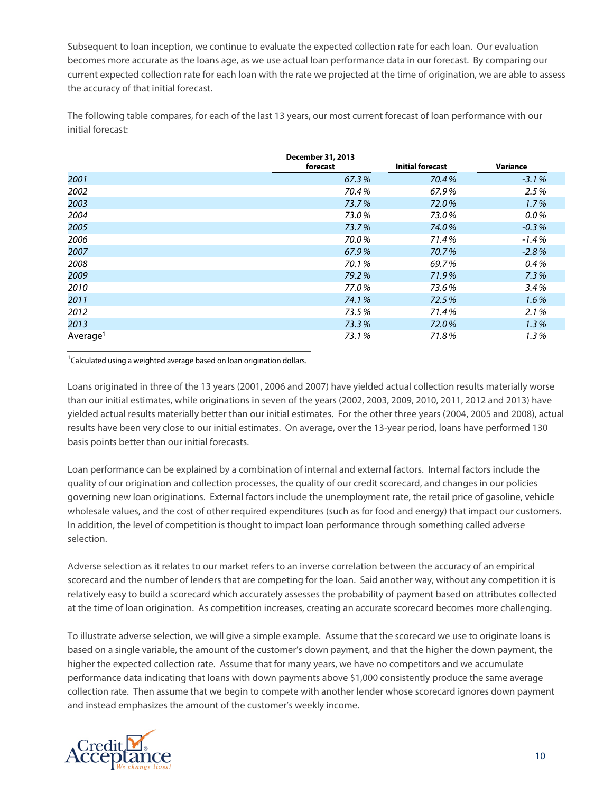Subsequent to loan inception, we continue to evaluate the expected collection rate for each loan. Our evaluation becomes more accurate as the loans age, as we use actual loan performance data in our forecast. By comparing our current expected collection rate for each loan with the rate we projected at the time of origination, we are able to assess the accuracy of that initial forecast.

The following table compares, for each of the last 13 years, our most current forecast of loan performance with our initial forecast:

|                      | December 31, 2013 |                         |          |
|----------------------|-------------------|-------------------------|----------|
|                      | forecast          | <b>Initial forecast</b> | Variance |
| 2001                 | 67.3%             | 70.4%                   | $-3.1%$  |
| 2002                 | 70.4%             | 67.9%                   | 2.5%     |
| 2003                 | 73.7%             | 72.0%                   | 1.7%     |
| 2004                 | 73.0%             | 73.0%                   | $0.0\%$  |
| 2005                 | 73.7%             | 74.0%                   | $-0.3%$  |
| 2006                 | 70.0%             | 71.4%                   | $-1.4%$  |
| 2007                 | 67.9%             | 70.7%                   | $-2.8%$  |
| 2008                 | 70.1%             | 69.7%                   | 0.4%     |
| 2009                 | 79.2%             | 71.9%                   | 7.3%     |
| 2010                 | 77.0%             | 73.6%                   | 3.4%     |
| 2011                 | 74.1%             | 72.5%                   | 1.6%     |
| 2012                 | 73.5%             | 71.4%                   | 2.1%     |
| 2013                 | 73.3%             | 72.0%                   | 1.3%     |
| Average <sup>1</sup> | 73.1%             | 71.8%                   | 1.3%     |

<sup>1</sup>Calculated using a weighted average based on loan origination dollars.

Loans originated in three of the 13 years (2001, 2006 and 2007) have yielded actual collection results materially worse than our initial estimates, while originations in seven of the years (2002, 2003, 2009, 2010, 2011, 2012 and 2013) have yielded actual results materially better than our initial estimates. For the other three years (2004, 2005 and 2008), actual results have been very close to our initial estimates. On average, over the 13-year period, loans have performed 130 basis points better than our initial forecasts.

Loan performance can be explained by a combination of internal and external factors. Internal factors include the quality of our origination and collection processes, the quality of our credit scorecard, and changes in our policies governing new loan originations. External factors include the unemployment rate, the retail price of gasoline, vehicle wholesale values, and the cost of other required expenditures (such as for food and energy) that impact our customers. In addition, the level of competition is thought to impact loan performance through something called adverse selection.

Adverse selection as it relates to our market refers to an inverse correlation between the accuracy of an empirical scorecard and the number of lenders that are competing for the loan. Said another way, without any competition it is relatively easy to build a scorecard which accurately assesses the probability of payment based on attributes collected at the time of loan origination. As competition increases, creating an accurate scorecard becomes more challenging.

To illustrate adverse selection, we will give a simple example. Assume that the scorecard we use to originate loans is based on a single variable, the amount of the customer's down payment, and that the higher the down payment, the higher the expected collection rate. Assume that for many years, we have no competitors and we accumulate performance data indicating that loans with down payments above \$1,000 consistently produce the same average collection rate. Then assume that we begin to compete with another lender whose scorecard ignores down payment and instead emphasizes the amount of the customer's weekly income.

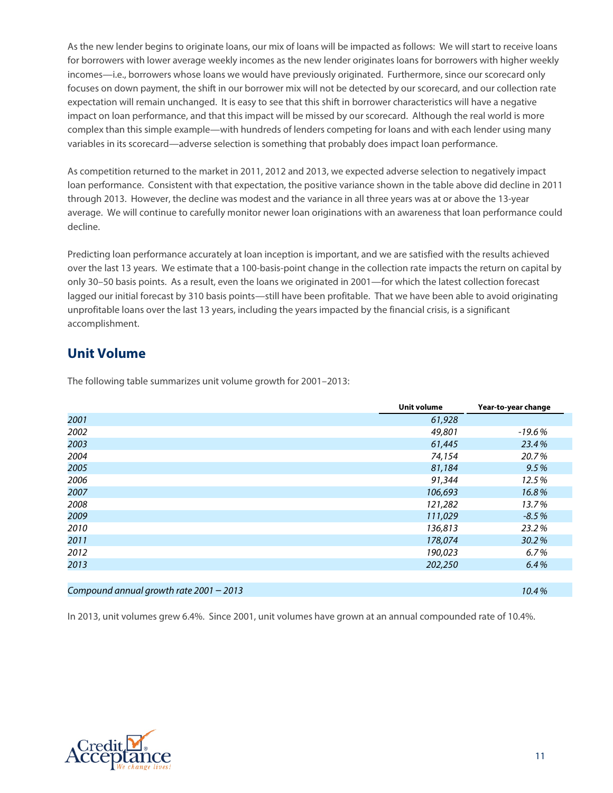As the new lender begins to originate loans, our mix of loans will be impacted as follows: We will start to receive loans for borrowers with lower average weekly incomes as the new lender originates loans for borrowers with higher weekly incomes—i.e., borrowers whose loans we would have previously originated. Furthermore, since our scorecard only focuses on down payment, the shift in our borrower mix will not be detected by our scorecard, and our collection rate expectation will remain unchanged. It is easy to see that this shift in borrower characteristics will have a negative impact on loan performance, and that this impact will be missed by our scorecard. Although the real world is more complex than this simple example—with hundreds of lenders competing for loans and with each lender using many variables in its scorecard—adverse selection is something that probably does impact loan performance.

As competition returned to the market in 2011, 2012 and 2013, we expected adverse selection to negatively impact loan performance. Consistent with that expectation, the positive variance shown in the table above did decline in 2011 through 2013. However, the decline was modest and the variance in all three years was at or above the 13-year average. We will continue to carefully monitor newer loan originations with an awareness that loan performance could decline.

Predicting loan performance accurately at loan inception is important, and we are satisfied with the results achieved over the last 13 years. We estimate that a 100-basis-point change in the collection rate impacts the return on capital by only 30–50 basis points. As a result, even the loans we originated in 2001—for which the latest collection forecast lagged our initial forecast by 310 basis points—still have been profitable. That we have been able to avoid originating unprofitable loans over the last 13 years, including the years impacted by the financial crisis, is a significant accomplishment.

## **Unit Volume**

The following table summarizes unit volume growth for 2001–2013:

|                                           | Unit volume | Year-to-year change |
|-------------------------------------------|-------------|---------------------|
| 2001                                      | 61,928      |                     |
| 2002                                      | 49,801      | $-19.6%$            |
| 2003                                      | 61,445      | 23.4%               |
| 2004                                      | 74,154      | 20.7%               |
| 2005                                      | 81,184      | 9.5%                |
| 2006                                      | 91,344      | 12.5%               |
| 2007                                      | 106,693     | 16.8%               |
| 2008                                      | 121,282     | 13.7%               |
| 2009                                      | 111,029     | $-8.5%$             |
| 2010                                      | 136,813     | 23.2%               |
| 2011                                      | 178,074     | 30.2%               |
| 2012                                      | 190,023     | 6.7%                |
| 2013                                      | 202,250     | 6.4%                |
|                                           |             |                     |
| Compound annual growth rate $2001 - 2013$ |             | 10.4%               |

In 2013, unit volumes grew 6.4%. Since 2001, unit volumes have grown at an annual compounded rate of 10.4%.

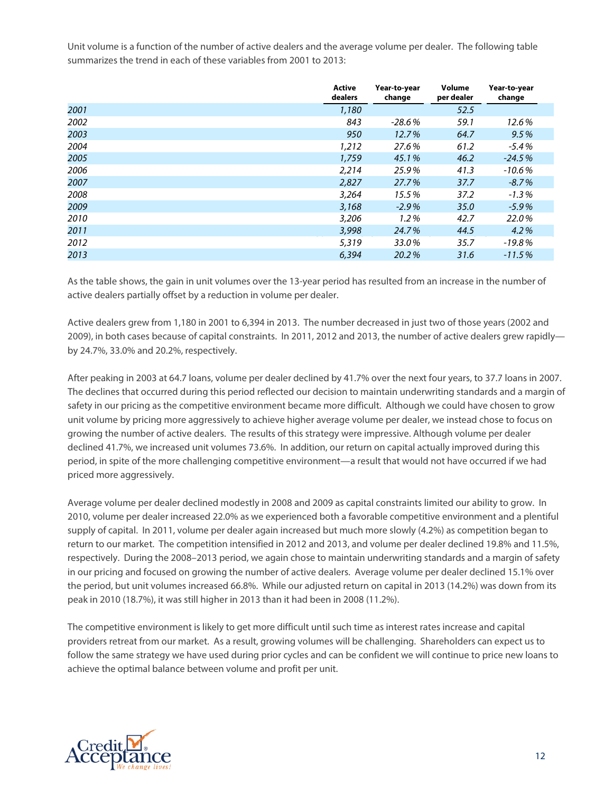Unit volume is a function of the number of active dealers and the average volume per dealer. The following table summarizes the trend in each of these variables from 2001 to 2013:

|      | <b>Active</b><br>dealers | Year-to-year<br>change | Volume<br>per dealer | Year-to-year<br>change |
|------|--------------------------|------------------------|----------------------|------------------------|
| 2001 | 1,180                    |                        | 52.5                 |                        |
| 2002 | 843                      | $-28.6%$               | 59.1                 | 12.6%                  |
| 2003 | 950                      | 12.7%                  | 64.7                 | 9.5%                   |
| 2004 | 1,212                    | 27.6%                  | 61.2                 | $-5.4%$                |
| 2005 | 1,759                    | 45.1%                  | 46.2                 | $-24.5%$               |
| 2006 | 2,214                    | 25.9%                  | 41.3                 | $-10.6%$               |
| 2007 | 2,827                    | 27.7%                  | 37.7                 | $-8.7%$                |
| 2008 | 3,264                    | 15.5%                  | 37.2                 | $-1.3%$                |
| 2009 | 3,168                    | $-2.9%$                | 35.0                 | $-5.9%$                |
| 2010 | 3,206                    | 1.2%                   | 42.7                 | 22.0%                  |
| 2011 | 3,998                    | 24.7%                  | 44.5                 | 4.2%                   |
| 2012 | 5,319                    | 33.0%                  | 35.7                 | $-19.8%$               |
| 2013 | 6.394                    | 20.2%                  | 31.6                 | $-11.5%$               |

As the table shows, the gain in unit volumes over the 13-year period has resulted from an increase in the number of active dealers partially offset by a reduction in volume per dealer.

Active dealers grew from 1,180 in 2001 to 6,394 in 2013. The number decreased in just two of those years (2002 and 2009), in both cases because of capital constraints. In 2011, 2012 and 2013, the number of active dealers grew rapidly by 24.7%, 33.0% and 20.2%, respectively.

After peaking in 2003 at 64.7 loans, volume per dealer declined by 41.7% over the next four years, to 37.7 loans in 2007. The declines that occurred during this period reflected our decision to maintain underwriting standards and a margin of safety in our pricing as the competitive environment became more difficult. Although we could have chosen to grow unit volume by pricing more aggressively to achieve higher average volume per dealer, we instead chose to focus on growing the number of active dealers. The results of this strategy were impressive. Although volume per dealer declined 41.7%, we increased unit volumes 73.6%. In addition, our return on capital actually improved during this period, in spite of the more challenging competitive environment—a result that would not have occurred if we had priced more aggressively.

Average volume per dealer declined modestly in 2008 and 2009 as capital constraints limited our ability to grow. In 2010, volume per dealer increased 22.0% as we experienced both a favorable competitive environment and a plentiful supply of capital. In 2011, volume per dealer again increased but much more slowly (4.2%) as competition began to return to our market. The competition intensified in 2012 and 2013, and volume per dealer declined 19.8% and 11.5%, respectively. During the 2008–2013 period, we again chose to maintain underwriting standards and a margin of safety in our pricing and focused on growing the number of active dealers. Average volume per dealer declined 15.1% over the period, but unit volumes increased 66.8%. While our adjusted return on capital in 2013 (14.2%) was down from its peak in 2010 (18.7%), it was still higher in 2013 than it had been in 2008 (11.2%).

The competitive environment is likely to get more difficult until such time as interest rates increase and capital providers retreat from our market. As a result, growing volumes will be challenging. Shareholders can expect us to follow the same strategy we have used during prior cycles and can be confident we will continue to price new loans to achieve the optimal balance between volume and profit per unit.

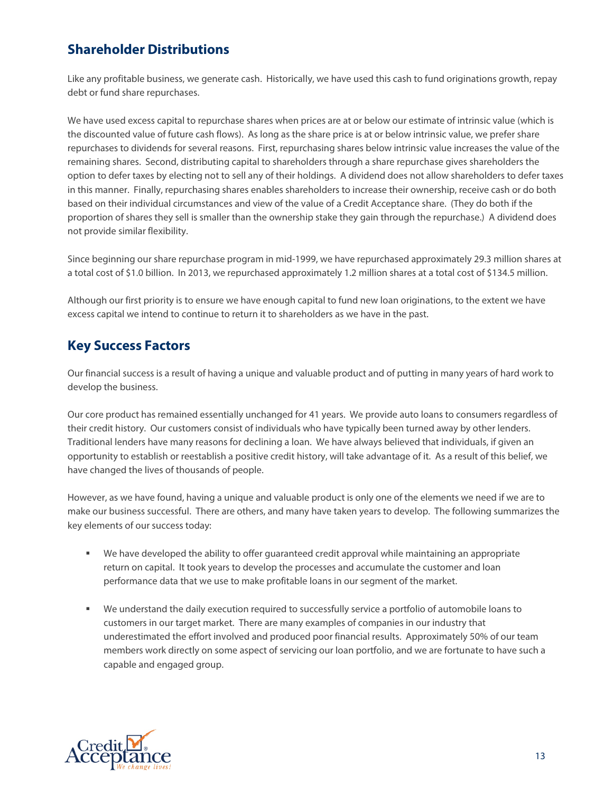# **Shareholder Distributions**

Like any profitable business, we generate cash. Historically, we have used this cash to fund originations growth, repay debt or fund share repurchases.

We have used excess capital to repurchase shares when prices are at or below our estimate of intrinsic value (which is the discounted value of future cash flows). As long as the share price is at or below intrinsic value, we prefer share repurchases to dividends for several reasons. First, repurchasing shares below intrinsic value increases the value of the remaining shares. Second, distributing capital to shareholders through a share repurchase gives shareholders the option to defer taxes by electing not to sell any of their holdings. A dividend does not allow shareholders to defer taxes in this manner. Finally, repurchasing shares enables shareholders to increase their ownership, receive cash or do both based on their individual circumstances and view of the value of a Credit Acceptance share. (They do both if the proportion of shares they sell is smaller than the ownership stake they gain through the repurchase.) A dividend does not provide similar flexibility.

Since beginning our share repurchase program in mid-1999, we have repurchased approximately 29.3 million shares at a total cost of \$1.0 billion. In 2013, we repurchased approximately 1.2 million shares at a total cost of \$134.5 million.

Although our first priority is to ensure we have enough capital to fund new loan originations, to the extent we have excess capital we intend to continue to return it to shareholders as we have in the past.

## **Key Success Factors**

Our financial success is a result of having a unique and valuable product and of putting in many years of hard work to develop the business.

Our core product has remained essentially unchanged for 41 years. We provide auto loans to consumers regardless of their credit history. Our customers consist of individuals who have typically been turned away by other lenders. Traditional lenders have many reasons for declining a loan. We have always believed that individuals, if given an opportunity to establish or reestablish a positive credit history, will take advantage of it. As a result of this belief, we have changed the lives of thousands of people.

However, as we have found, having a unique and valuable product is only one of the elements we need if we are to make our business successful. There are others, and many have taken years to develop. The following summarizes the key elements of our success today:

- We have developed the ability to offer guaranteed credit approval while maintaining an appropriate return on capital. It took years to develop the processes and accumulate the customer and loan performance data that we use to make profitable loans in our segment of the market.
- We understand the daily execution required to successfully service a portfolio of automobile loans to customers in our target market. There are many examples of companies in our industry that underestimated the effort involved and produced poor financial results. Approximately 50% of our team members work directly on some aspect of servicing our loan portfolio, and we are fortunate to have such a capable and engaged group.

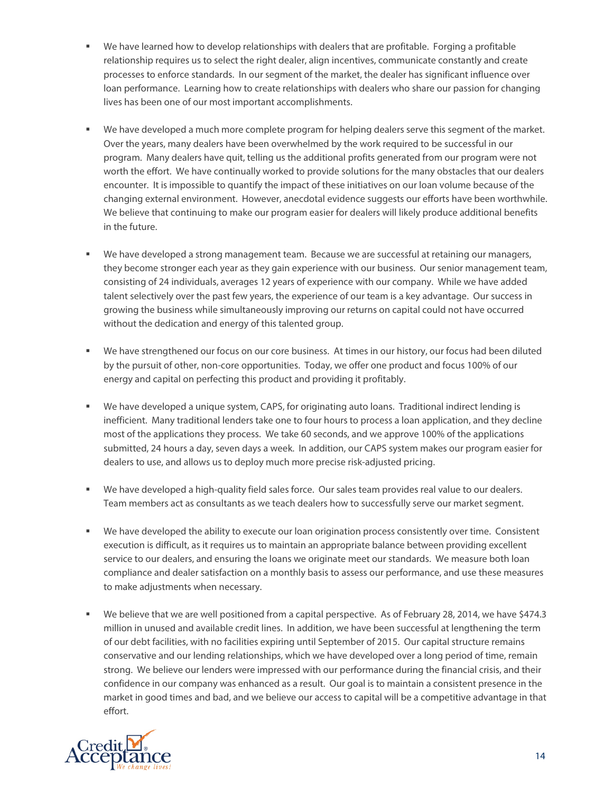- We have learned how to develop relationships with dealers that are profitable. Forging a profitable relationship requires us to select the right dealer, align incentives, communicate constantly and create processes to enforce standards. In our segment of the market, the dealer has significant influence over loan performance. Learning how to create relationships with dealers who share our passion for changing lives has been one of our most important accomplishments.
- We have developed a much more complete program for helping dealers serve this segment of the market. Over the years, many dealers have been overwhelmed by the work required to be successful in our program. Many dealers have quit, telling us the additional profits generated from our program were not worth the effort. We have continually worked to provide solutions for the many obstacles that our dealers encounter. It is impossible to quantify the impact of these initiatives on our loan volume because of the changing external environment. However, anecdotal evidence suggests our efforts have been worthwhile. We believe that continuing to make our program easier for dealers will likely produce additional benefits in the future.
- We have developed a strong management team. Because we are successful at retaining our managers, they become stronger each year as they gain experience with our business. Our senior management team, consisting of 24 individuals, averages 12 years of experience with our company. While we have added talent selectively over the past few years, the experience of our team is a key advantage. Our success in growing the business while simultaneously improving our returns on capital could not have occurred without the dedication and energy of this talented group.
- We have strengthened our focus on our core business. At times in our history, our focus had been diluted by the pursuit of other, non-core opportunities. Today, we offer one product and focus 100% of our energy and capital on perfecting this product and providing it profitably.
- We have developed a unique system, CAPS, for originating auto loans. Traditional indirect lending is inefficient. Many traditional lenders take one to four hours to process a loan application, and they decline most of the applications they process. We take 60 seconds, and we approve 100% of the applications submitted, 24 hours a day, seven days a week. In addition, our CAPS system makes our program easier for dealers to use, and allows us to deploy much more precise risk-adjusted pricing.
- We have developed a high-quality field sales force. Our sales team provides real value to our dealers. Team members act as consultants as we teach dealers how to successfully serve our market segment.
- We have developed the ability to execute our loan origination process consistently over time. Consistent execution is difficult, as it requires us to maintain an appropriate balance between providing excellent service to our dealers, and ensuring the loans we originate meet our standards. We measure both loan compliance and dealer satisfaction on a monthly basis to assess our performance, and use these measures to make adjustments when necessary.
- We believe that we are well positioned from a capital perspective. As of February 28, 2014, we have \$474.3 million in unused and available credit lines. In addition, we have been successful at lengthening the term of our debt facilities, with no facilities expiring until September of 2015. Our capital structure remains conservative and our lending relationships, which we have developed over a long period of time, remain strong. We believe our lenders were impressed with our performance during the financial crisis, and their confidence in our company was enhanced as a result. Our goal is to maintain a consistent presence in the market in good times and bad, and we believe our access to capital will be a competitive advantage in that effort.

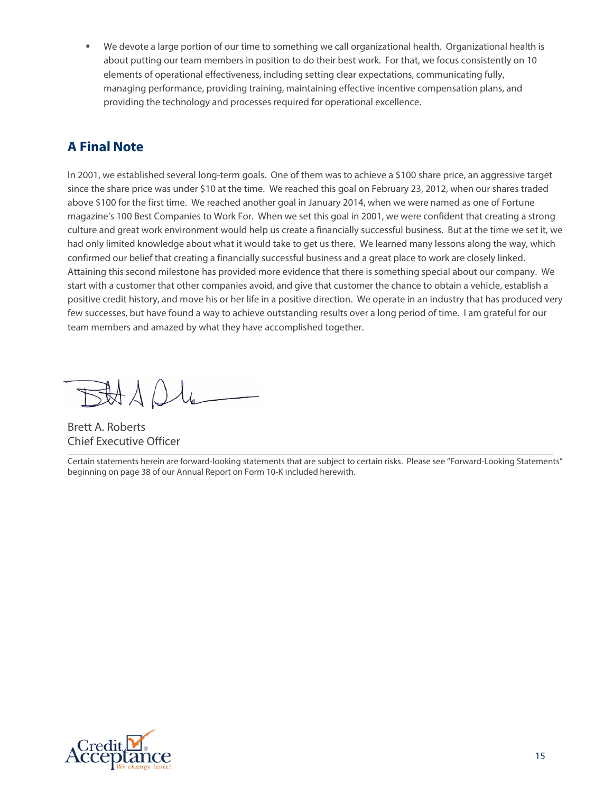We devote a large portion of our time to something we call organizational health. Organizational health is about putting our team members in position to do their best work. For that, we focus consistently on 10 elements of operational effectiveness, including setting clear expectations, communicating fully, managing performance, providing training, maintaining effective incentive compensation plans, and providing the technology and processes required for operational excellence.

# **A Final Note**

In 2001, we established several long-term goals. One of them was to achieve a \$100 share price, an aggressive target since the share price was under \$10 at the time. We reached this goal on February 23, 2012, when our shares traded above \$100 for the first time. We reached another goal in January 2014, when we were named as one of Fortune magazine's 100 Best Companies to Work For. When we set this goal in 2001, we were confident that creating a strong culture and great work environment would help us create a financially successful business. But at the time we set it, we had only limited knowledge about what it would take to get us there. We learned many lessons along the way, which confirmed our belief that creating a financially successful business and a great place to work are closely linked. Attaining this second milestone has provided more evidence that there is something special about our company. We start with a customer that other companies avoid, and give that customer the chance to obtain a vehicle, establish a positive credit history, and move his or her life in a positive direction. We operate in an industry that has produced very few successes, but have found a way to achieve outstanding results over a long period of time. I am grateful for our team members and amazed by what they have accomplished together.

BAADL

Brett A. Roberts Chief Executive Officer

Certain statements herein are forward-looking statements that are subject to certain risks. Please see "Forward-Looking Statements" beginning on page 38 of our Annual Report on Form 10-K included herewith.

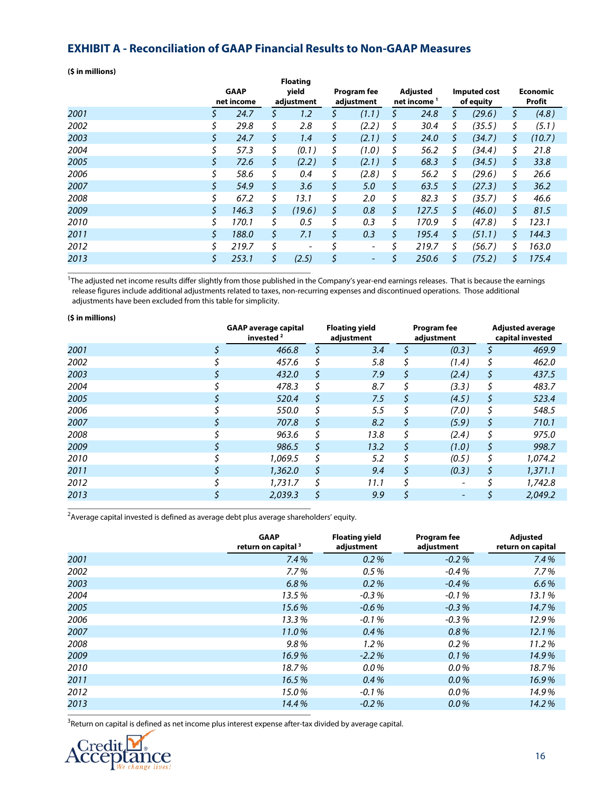#### **EXHIBIT A - Reconciliation of GAAP Financial Results to Non-GAAP Measures**

**(\$ in millions)**

|      |     | <b>GAAP</b><br>net income |     | <b>Floating</b><br>yield<br>adjustment | Program fee<br>adjustment |    | Adjusted<br>net income <sup>1</sup> | Imputed cost<br>of equity |     | <b>Economic</b><br>Profit |
|------|-----|---------------------------|-----|----------------------------------------|---------------------------|----|-------------------------------------|---------------------------|-----|---------------------------|
| 2001 | \$  | 24.7                      | S   | 1.2                                    | \$<br>(1.1)               | \$ | 24.8                                | \$<br>(29.6)              | \$. | (4.8)                     |
| 2002 |     | 29.8                      | \$  | 2.8                                    | \$<br>(2.2)               | \$ | 30.4                                | \$<br>(35.5)              | \$  | (5.1)                     |
| 2003 | \$  | 24.7                      | \$  | 1.4                                    | \$<br>(2.1)               | \$ | 24.0                                | \$<br>(34.7)              | \$. | (10.7)                    |
| 2004 | \$  | 57.3                      | \$  | (0.1)                                  | \$<br>(1.0)               | \$ | 56.2                                | \$<br>(34.4)              | \$  | 21.8                      |
| 2005 | \$  | 72.6                      | \$  | (2.2)                                  | \$<br>(2.1)               | S  | 68.3                                | \$<br>(34.5)              | S   | 33.8                      |
| 2006 | \$  | 58.6                      | Ś   | 0.4                                    | \$<br>(2.8)               | \$ | 56.2                                | \$<br>(29.6)              | S.  | 26.6                      |
| 2007 | \$  | 54.9                      | \$. | 3.6                                    | \$<br>5.0                 | \$ | 63.5                                | \$<br>(27.3)              | \$. | 36.2                      |
| 2008 | \$  | 67.2                      | \$  | 13.1                                   | \$<br>2.0                 | \$ | 82.3                                | \$<br>(35.7)              | S   | 46.6                      |
| 2009 | \$. | 146.3                     | \$. | (19.6)                                 | \$<br>0.8                 | \$ | 127.5                               | \$<br>(46.0)              | S.  | 81.5                      |
| 2010 | \$  | 170.1                     | Ś.  | 0.5                                    | \$<br>0.3                 | \$ | 170.9                               | \$<br>(47.8)              | Ś.  | 123.1                     |
| 2011 | \$  | 188.0                     | \$  | 7.1                                    | \$<br>0.3                 | \$ | 195.4                               | \$<br>(51.1)              | \$. | 144.3                     |
| 2012 | \$  | 219.7                     | \$  | -                                      | \$<br>-                   | Ś  | 219.7                               | \$<br>(56.7)              | \$. | 163.0                     |
| 2013 | \$  | 253.1                     | \$  | (2.5)                                  | \$<br>-                   | \$ | 250.6                               | \$<br>(75.2)              | \$  | 175.4                     |

<sup>1</sup>The adjusted net income results differ slightly from those published in the Company's year-end earnings releases. That is because the earnings release figures include additional adjustments related to taxes, non-recurring expenses and discontinued operations. Those additional adjustments have been excluded from this table for simplicity.

| (\$ in millions) |                                                      |    |                                     |    |                           |    |                                             |  |
|------------------|------------------------------------------------------|----|-------------------------------------|----|---------------------------|----|---------------------------------------------|--|
|                  | <b>GAAP</b> average capital<br>invested <sup>2</sup> |    | <b>Floating yield</b><br>adjustment |    | Program fee<br>adjustment |    | <b>Adjusted average</b><br>capital invested |  |
| 2001             | 466.8                                                | \$ | 3.4                                 |    | (0.3)                     |    | 469.9                                       |  |
| 2002             | 457.6                                                |    | 5.8                                 |    | (1.4)                     | \$ | 462.0                                       |  |
| 2003             | 432.0                                                | \$ | 7.9                                 | \$ | (2.4)                     | \$ | 437.5                                       |  |
| 2004             | 478.3                                                |    | 8.7                                 |    | (3.3)                     | \$ | 483.7                                       |  |
| 2005             | 520.4                                                | \$ | 7.5                                 | S  | (4.5)                     | \$ | 523.4                                       |  |
| 2006             | 550.0                                                |    | 5.5                                 |    | (7.0)                     | \$ | 548.5                                       |  |
| 2007             | 707.8                                                | \$ | 8.2                                 | \$ | (5.9)                     | \$ | 710.1                                       |  |
| 2008             | 963.6                                                | Ś  | 13.8                                |    | (2.4)                     | \$ | 975.0                                       |  |
| 2009             | 986.5                                                | \$ | 13.2                                | \$ | (1.0)                     | \$ | 998.7                                       |  |
| 2010             | 1.069.5                                              | \$ | 5.2                                 |    | (0.5)                     | \$ | 1,074.2                                     |  |
| 2011             | 1,362.0                                              | \$ | 9.4                                 | \$ | (0.3)                     | \$ | 1,371.1                                     |  |
| 2012             | 1,731.7                                              | \$ | 11.1                                |    |                           |    | 1,742.8                                     |  |
| 2013             | 2,039.3                                              | \$ | 9.9                                 |    | $\overline{\phantom{a}}$  |    | 2.049.2                                     |  |

 $^2$ Average capital invested is defined as average debt plus average shareholders' equity.

|      | <b>GAAP</b><br>return on capital <sup>3</sup> | <b>Floating yield</b><br>adjustment | <b>Program fee</b><br>adjustment | Adjusted<br>return on capital |
|------|-----------------------------------------------|-------------------------------------|----------------------------------|-------------------------------|
| 2001 | 7.4%                                          | 0.2%                                | $-0.2%$                          | 7.4%                          |
| 2002 | $7.7\%$                                       | 0.5%                                | $-0.4%$                          | 7.7%                          |
| 2003 | 6.8%                                          | 0.2%                                | $-0.4%$                          | 6.6%                          |
| 2004 | 13.5%                                         | $-0.3%$                             | $-0.1%$                          | 13.1%                         |
| 2005 | 15.6%                                         | $-0.6%$                             | $-0.3%$                          | 14.7%                         |
| 2006 | 13.3%                                         | $-0.1%$                             | $-0.3%$                          | 12.9%                         |
| 2007 | 11.0%                                         | 0.4%                                | 0.8%                             | 12.1%                         |
| 2008 | $9.8\%$                                       | $1.2\%$                             | 0.2%                             | 11.2%                         |
| 2009 | 16.9%                                         | $-2.2%$                             | 0.1%                             | 14.9%                         |
| 2010 | 18.7%                                         | $0.0\%$                             | $0.0\%$                          | 18.7%                         |
| 2011 | 16.5%                                         | 0.4%                                | $0.0\%$                          | 16.9%                         |
| 2012 | 15.0%                                         | $-0.1\%$                            | $0.0\%$                          | 14.9%                         |
| 2013 | 14.4%                                         | $-0.2%$                             | $0.0\%$                          | 14.2%                         |
|      |                                               |                                     |                                  |                               |

 $^3$ Return on capital is defined as net income plus interest expense after-tax divided by average capital.